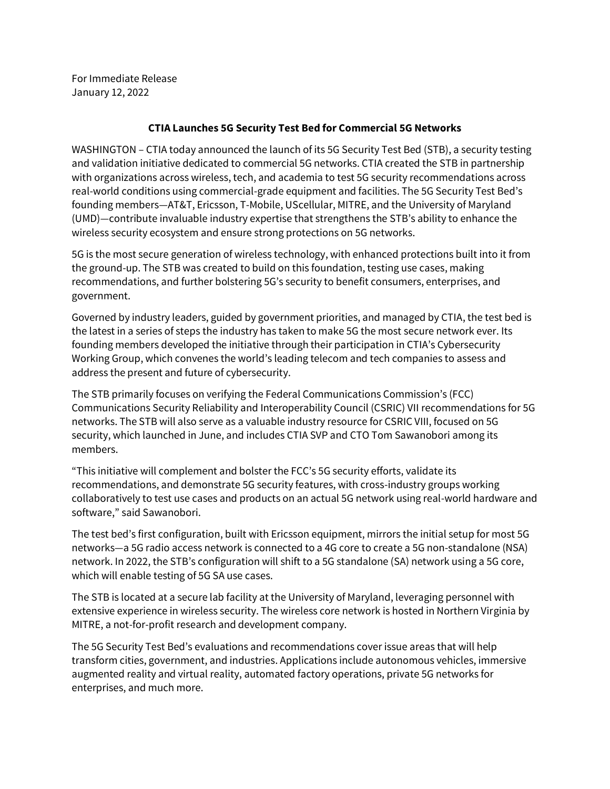For Immediate Release January 12, 2022

## **CTIA Launches 5G Security Test Bed for Commercial 5G Networks**

WASHINGTON – CTIA today announced the launch of its 5G Security Test Bed (STB), a security testing and validation initiative dedicated to commercial 5G networks. CTIA created the STB in partnership with organizations across wireless, tech, and academia to test 5G security recommendations across real-world conditions using commercial-grade equipment and facilities. The 5G Security Test Bed's founding members—AT&T, Ericsson, T-Mobile, UScellular, MITRE, and the University of Maryland (UMD)—contribute invaluable industry expertise that strengthens the STB's ability to enhance the wireless security ecosystem and ensure strong protections on 5G networks.

5G is the most secure generation of wireless technology, with enhanced protections built into it from the ground-up. The STB was created to build on this foundation, testing use cases, making recommendations, and further bolstering 5G's security to benefit consumers, enterprises, and government.

Governed by industry leaders, guided by government priorities, and managed by CTIA, the test bed is the latest in a series of steps the industry has taken to make 5G the most secure network ever. Its founding members developed the initiative through their participation in CTIA's Cybersecurity Working Group, which convenes the world's leading telecom and tech companies to assess and address the present and future of cybersecurity.

The STB primarily focuses on verifying the Federal Communications Commission's (FCC) Communications Security Reliability and Interoperability Council (CSRIC) VII recommendations for 5G networks. The STB will also serve as a valuable industry resource for CSRIC VIII, focused on 5G security, which launched in June, and includes CTIA SVP and CTO Tom Sawanobori among its members.

"This initiative will complement and bolster the FCC's 5G security efforts, validate its recommendations, and demonstrate 5G security features, with cross-industry groups working collaboratively to test use cases and products on an actual 5G network using real-world hardware and software," said Sawanobori.

The test bed's first configuration, built with Ericsson equipment, mirrors the initial setup for most 5G networks—a 5G radio access network is connected to a 4G core to create a 5G non-standalone (NSA) network. In 2022, the STB's configuration will shift to a 5G standalone (SA) network using a 5G core, which will enable testing of 5G SA use cases.

The STB is located at a secure lab facility at the University of Maryland, leveraging personnel with extensive experience in wireless security. The wireless core network is hosted in Northern Virginia by MITRE, a not-for-profit research and development company.

The 5G Security Test Bed's evaluations and recommendations cover issue areas that will help transform cities, government, and industries. Applications include autonomous vehicles, immersive augmented reality and virtual reality, automated factory operations, private 5G networks for enterprises, and much more.